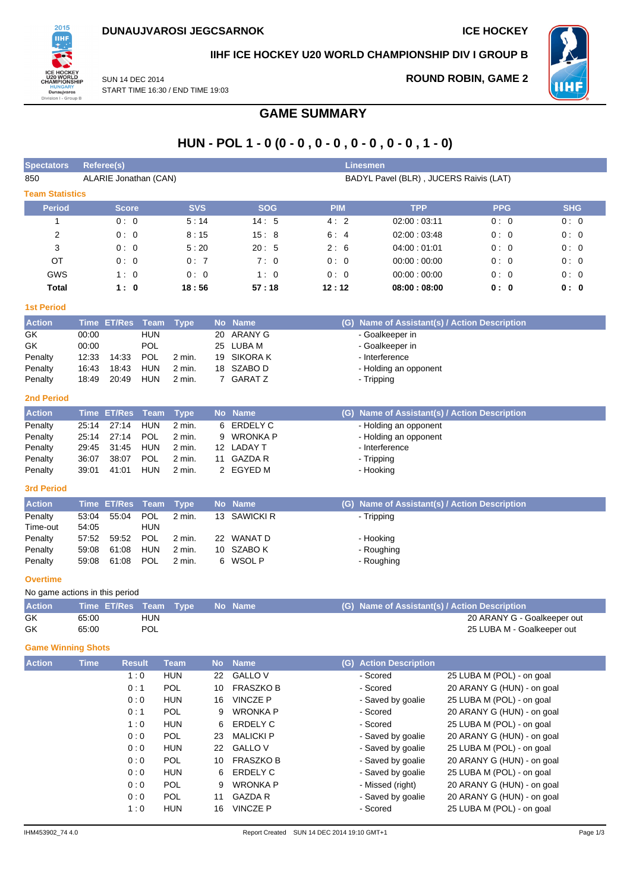

## **IIHF ICE HOCKEY U20 WORLD CHAMPIONSHIP DIV I GROUP B**

SUN 14 DEC 2014 START TIME 16:30 / END TIME 19:03

## **ROUND ROBIN, GAME 2**



**GAME SUMMARY**

# **HUN - POL 1 - 0 (0 - 0 , 0 - 0 , 0 - 0 , 0 - 0 , 1 - 0)**

| <b>Spectators</b>      | <b>Referee(s)</b>     |            |            | <b>Linesmen</b> |                                        |            |            |
|------------------------|-----------------------|------------|------------|-----------------|----------------------------------------|------------|------------|
| 850                    | ALARIE Jonathan (CAN) |            |            |                 | BADYL Pavel (BLR), JUCERS Raivis (LAT) |            |            |
| <b>Team Statistics</b> |                       |            |            |                 |                                        |            |            |
| <b>Period</b>          | <b>Score</b>          | <b>SVS</b> | <b>SOG</b> | <b>PIM</b>      | <b>TPP</b>                             | <b>PPG</b> | <b>SHG</b> |
|                        | 0:0                   | 5:14       | 14:5       | 4:2             | 02:00:03:11                            | 0:0        | 0:0        |
| $\overline{2}$         | 0:0                   | 8:15       | 15:8       | 6:4             | 02:00:03:48                            | 0:0        | 0:0        |
| 3                      | 0:0                   | 5:20       | 20:5       | 2:6             | 04:00:01:01                            | 0:0        | 0:0        |
| OT                     | 0:0                   | 0:7        | 7:0        | 0:0             | 00:00:00:00                            | 0:0        | 0:0        |
| <b>GWS</b>             | 1:0                   | 0:0        | 1:0        | 0:0             | 00:00:00:00                            | 0:0        | 0:0        |
| Total                  | 1:0                   | 18:56      | 57:18      | 12:12           | 08:00:08:00                            | 0: 0       | 0: 0       |

## **1st Period**

| <b>Action</b> |       | Time ET/Res Team Type |            |          | No Name        | (G) Name of Assistant(s) / Action Description |
|---------------|-------|-----------------------|------------|----------|----------------|-----------------------------------------------|
| GK            | 00:00 |                       | <b>HUN</b> |          | 20 ARANY G     | - Goalkeeper in                               |
| GK            | 00:00 |                       | <b>POL</b> |          | 25 LUBA M      | - Goalkeeper in                               |
| Penalty       | 12:33 | 14:33                 | <b>POL</b> | $2$ min. | 19 SIKORA K    | - Interference                                |
| Penalty       | 16:43 | 18:43                 | HUN        | $2$ min. | 18 SZABO D     | - Holding an opponent                         |
| Penalty       | 18:49 | 20:49                 | <b>HUN</b> | $2$ min. | <b>GARAT Z</b> | - Tripping                                    |

### **2nd Period**

| <b>Action</b> |       | Time ET/Res Team Type |            |          |    | No Name    | (G) Name of Assistant(s) / Action Description |
|---------------|-------|-----------------------|------------|----------|----|------------|-----------------------------------------------|
| Penalty       |       | 25.14 27:14           | HUN        | 2 min.   | 6  | ERDELY C   | - Holding an opponent                         |
| Penalty       |       | 25:14 27:14           | POL        | $2$ min. |    | 9 WRONKA P | - Holding an opponent                         |
| Penalty       |       | 29:45 31:45           | <b>HUN</b> | 2 min.   |    | 12 LADAY T | - Interference                                |
| Penalty       | 36:07 | 38:07                 | <b>POL</b> | 2 min.   | 11 | GAZDA R    | - Tripping                                    |
| Penalty       | 39.01 | 41:01                 | <b>HUN</b> | 2 min.   |    | 2 EGYED M  | - Hooking                                     |

## **3rd Period**

| <b>Action</b> |       | Time ET/Res Team Type |            |          | No Name      | (G) Name of Assistant(s) / Action Description |
|---------------|-------|-----------------------|------------|----------|--------------|-----------------------------------------------|
| Penalty       | 53:04 | 55:04                 | <b>POL</b> | 2 min.   | 13 SAWICKI R | - Tripping                                    |
| Time-out      | 54:05 |                       | HUN        |          |              |                                               |
| Penalty       | 57:52 | 59:52                 | <b>POL</b> | 2 min.   | 22 WANAT D   | - Hooking                                     |
| Penalty       | 59.08 | 61:08                 | <b>HUN</b> | 2 min.   | 10 SZABO K   | - Roughing                                    |
| Penalty       | 59:08 | 61:08                 | <b>POL</b> | $2$ min. | 6 WSOL P     | - Roughing                                    |

### **Overtime**

|               | No game actions in this period |            |  |  |                                               |  |  |  |  |  |  |  |  |  |  |
|---------------|--------------------------------|------------|--|--|-----------------------------------------------|--|--|--|--|--|--|--|--|--|--|
| <b>Action</b> | Time ET/Res Team Type No Name  |            |  |  | (G) Name of Assistant(s) / Action Description |  |  |  |  |  |  |  |  |  |  |
| GK            | 65:00                          | <b>HUN</b> |  |  | 20 ARANY G - Goalkeeper out                   |  |  |  |  |  |  |  |  |  |  |
| GK            | 65:00                          | <b>POL</b> |  |  | 25 LUBA M - Goalkeeper out                    |  |  |  |  |  |  |  |  |  |  |

### **Game Winning Shots**

| <b>Action</b> | <b>Time</b> | <b>Result</b> | <b>Team</b> | <b>No</b> | <b>Name</b>      | <b>Action Description</b><br>(G) |                            |
|---------------|-------------|---------------|-------------|-----------|------------------|----------------------------------|----------------------------|
|               |             | 1:0           | <b>HUN</b>  | 22        | <b>GALLO V</b>   | - Scored                         | 25 LUBA M (POL) - on goal  |
|               |             | 0:1           | <b>POL</b>  | 10        | <b>FRASZKO B</b> | - Scored                         | 20 ARANY G (HUN) - on goal |
|               |             | 0:0           | <b>HUN</b>  | 16        | <b>VINCZE P</b>  | - Saved by goalie                | 25 LUBA M (POL) - on goal  |
|               |             | 0:1           | <b>POL</b>  | 9         | <b>WRONKA P</b>  | - Scored                         | 20 ARANY G (HUN) - on goal |
|               |             | 1:0           | <b>HUN</b>  | 6         | ERDELY C         | - Scored                         | 25 LUBA M (POL) - on goal  |
|               |             | 0:0           | <b>POL</b>  | 23        | <b>MALICKI P</b> | - Saved by goalie                | 20 ARANY G (HUN) - on goal |
|               |             | 0:0           | <b>HUN</b>  | 22        | <b>GALLO V</b>   | - Saved by goalie                | 25 LUBA M (POL) - on goal  |
|               |             | 0:0           | <b>POL</b>  | 10        | <b>FRASZKO B</b> | - Saved by goalie                | 20 ARANY G (HUN) - on goal |
|               |             | 0:0           | <b>HUN</b>  | 6         | ERDELY C         | - Saved by goalie                | 25 LUBA M (POL) - on goal  |
|               |             | 0:0           | <b>POL</b>  | 9         | <b>WRONKA P</b>  | - Missed (right)                 | 20 ARANY G (HUN) - on goal |
|               |             | 0:0           | <b>POL</b>  | 11        | <b>GAZDA R</b>   | - Saved by goalie                | 20 ARANY G (HUN) - on goal |
|               |             | 1:0           | <b>HUN</b>  | 16        | <b>VINCZE P</b>  | - Scored                         | 25 LUBA M (POL) - on goal  |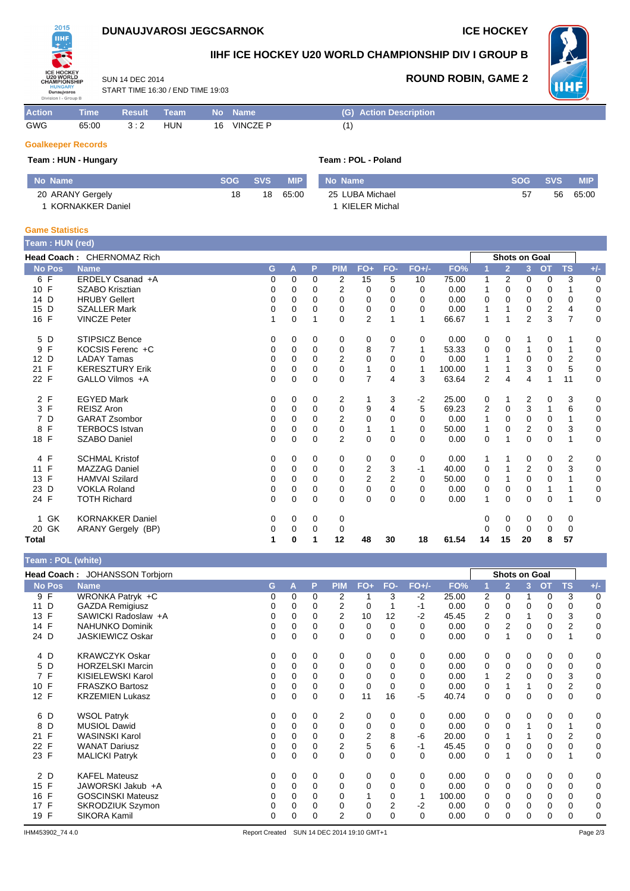# **DUNAUJVAROSI JEGCSARNOK ICE HOCKEY**



2015

# **IIHF ICE HOCKEY U20 WORLD CHAMPIONSHIP DIV I GROUP B**



**ROUND ROBIN, GAME 2**

SUN 14 DEC 2014 START TIME 16:30 / END TIME 19:03

| <b>Action</b>             | Time ' | <b>Result</b> | ∖ Team <sup>∖</sup> | / No | <b>Name</b> | (G) Action Description |
|---------------------------|--------|---------------|---------------------|------|-------------|------------------------|
| GWG                       | 65:00  | 3:2           | <b>HUN</b>          | 16   | VINCZE P    | (1)                    |
| <b>Goalkeeper Records</b> |        |               |                     |      |             |                        |

### **Team : HUN - Hungary Team : POL - Poland**

| Mo Name \        | SOG | <b>SVS</b> | <b>MIP</b> | No Name         | <b>SOG</b> | <b>SVS</b> | <b>MIP</b> |
|------------------|-----|------------|------------|-----------------|------------|------------|------------|
| 20 ARANY Gergely | 18  | 18         | 65:00      | 25 LUBA Michael | 57         | 56         | 65:00      |
| KORNAKKER Daniel |     |            |            | KIELER Michal   |            |            |            |

### **Game Statistics**

| Team: HUN (red) |                            |   |          |          |                |                |          |          |        |                |                      |                |                |                |             |
|-----------------|----------------------------|---|----------|----------|----------------|----------------|----------|----------|--------|----------------|----------------------|----------------|----------------|----------------|-------------|
|                 | Head Coach: CHERNOMAZ Rich |   |          |          |                |                |          |          |        |                | <b>Shots on Goal</b> |                |                |                |             |
| <b>No Pos</b>   | <b>Name</b>                | G | A        | P        | <b>PIM</b>     | $FO+$          | FO-      | $FO+/-$  | FO%    |                | $\overline{2}$       | 3 <sup>2</sup> | <b>OT</b>      | <b>TS</b>      | $+/-$       |
| 6 F             | ERDELY Csanad +A           | 0 | $\Omega$ | $\Omega$ | 2              | 15             | 5        | 10       | 75.00  | 1              | 2                    | 0              | 0              | 3              | 0           |
| 10 F            | SZABO Krisztian            | 0 | 0        | 0        | 2              | 0              | 0        | $\Omega$ | 0.00   | 1              | $\Omega$             | 0              | $\Omega$       |                | $\mathbf 0$ |
| 14 D            | <b>HRUBY Gellert</b>       | 0 | 0        | 0        | 0              | 0              | 0        | 0        | 0.00   | 0              | 0                    | $\Omega$       | 0              | 0              | $\mathbf 0$ |
| 15 D            | <b>SZALLER Mark</b>        | 0 | $\Omega$ | 0        | 0              | 0              | 0        | 0        | 0.00   | 1              |                      | 0              | $\overline{2}$ | 4              | 0           |
| 16 F            | <b>VINCZE Peter</b>        | 1 | 0        |          | 0              | 2              |          | 1        | 66.67  | 1              |                      | 2              | 3              | $\overline{7}$ | 0           |
| 5 D             | <b>STIPSICZ Bence</b>      | 0 | $\Omega$ | 0        | 0              | 0              | 0        | 0        | 0.00   | 0              | 0                    | 1              | 0              |                | 0           |
| F<br>9          | KOCSIS Ferenc +C           | 0 | $\Omega$ | 0        | 0              | 8              | 7        | 1        | 53.33  | 0              | 0                    |                | 0              | 1              | $\mathbf 0$ |
| 12 D            | <b>LADAY Tamas</b>         | 0 | $\Omega$ | 0        | $\overline{2}$ | 0              | $\Omega$ | $\Omega$ | 0.00   |                |                      | $\Omega$       | 0              | 2              | $\mathbf 0$ |
| F<br>21         | <b>KERESZTURY Erik</b>     | 0 | $\Omega$ | $\Omega$ | $\Omega$       | 1              | 0        | 1        | 100.00 | 1              |                      | 3              | $\Omega$       | 5              | $\mathbf 0$ |
| 22 F            | GALLO Vilmos +A            | 0 | $\Omega$ | $\Omega$ | $\Omega$       | $\overline{7}$ | 4        | 3        | 63.64  | $\overline{2}$ | 4                    | 4              | 1              | 11             | 0           |
| 2 F             | <b>EGYED Mark</b>          | 0 | $\Omega$ | $\Omega$ | 2              |                | 3        | $-2$     | 25.00  | 0              |                      | 2              | $\Omega$       | 3              | 0           |
| 3 F             | <b>REISZ Aron</b>          | 0 | 0        | $\Omega$ | 0              | 9              | 4        | 5        | 69.23  | 2              | 0                    | 3              | 1              | 6              | 0           |
| 7 D             | <b>GARAT Zsombor</b>       | 0 | $\Omega$ | 0        | 2              | 0              | 0        | $\Omega$ | 0.00   | 1              | 0                    | 0              | 0              | 1              | 0           |
| F<br>8          | <b>TERBOCS Istvan</b>      | 0 | 0        | 0        | 0              | 1              |          | $\Omega$ | 50.00  | 1              | 0                    | 2              | $\mathbf 0$    | 3              | $\mathbf 0$ |
| 18 F            | <b>SZABO Daniel</b>        | 0 | $\Omega$ | 0        | $\overline{2}$ | $\mathbf 0$    | $\Omega$ | $\Omega$ | 0.00   | $\mathbf 0$    |                      | $\Omega$       | $\mathbf 0$    |                | $\mathbf 0$ |
| 4 F             | <b>SCHMAL Kristof</b>      | 0 | 0        | 0        | 0              | 0              | 0        | 0        | 0.00   | 1              | 1                    | 0              | 0              | 2              | 0           |
| F<br>11         | <b>MAZZAG Daniel</b>       | 0 | $\Omega$ | $\Omega$ | 0              | 2              | 3        | -1       | 40.00  | 0              |                      | 2              | 0              | 3              | 0           |
| F<br>13         | <b>HAMVAI Szilard</b>      | 0 | $\Omega$ | 0        | $\Omega$       | 2              | 2        | 0        | 50.00  | 0              |                      | 0              | $\Omega$       |                | 0           |
| 23 D            | <b>VOKLA Roland</b>        | 0 | $\Omega$ | 0        | 0              | 0              | $\Omega$ | $\Omega$ | 0.00   | 0              | 0                    | 0              | 1              |                | $\mathbf 0$ |
| 24 F            | <b>TOTH Richard</b>        | 0 | 0        | 0        | 0              | $\mathbf 0$    | $\Omega$ | $\Omega$ | 0.00   | 1              | 0                    | 0              | $\mathbf 0$    | 1              | $\mathbf 0$ |
| <b>GK</b><br>1  | <b>KORNAKKER Daniel</b>    | 0 | 0        | 0        | 0              |                |          |          |        | 0              | 0                    | 0              | 0              | 0              |             |
| 20 GK           | ARANY Gergely (BP)         | 0 | 0        | 0        | 0              |                |          |          |        | 0              | 0                    | 0              | 0              | 0              |             |
| <b>Total</b>    |                            | 1 | $\bf{0}$ |          | 12             | 48             | 30       | 18       | 61.54  | 14             | 15                   | 20             | 8              | 57             |             |

### **Team : POL (white)**

| ⊺eam : POL (white)             |                                                                                                                                                                                                                                                       |             |                    |                                |                            |                              |                                                     |                                |                                                                  |                                 |                  |                  |                                   |                                         |
|--------------------------------|-------------------------------------------------------------------------------------------------------------------------------------------------------------------------------------------------------------------------------------------------------|-------------|--------------------|--------------------------------|----------------------------|------------------------------|-----------------------------------------------------|--------------------------------|------------------------------------------------------------------|---------------------------------|------------------|------------------|-----------------------------------|-----------------------------------------|
| Head Coach: JOHANSSON Torbjorn |                                                                                                                                                                                                                                                       |             |                    |                                |                            |                              |                                                     |                                |                                                                  |                                 |                  |                  |                                   |                                         |
| <b>Name</b>                    | G                                                                                                                                                                                                                                                     | A           | P                  | <b>PIM</b>                     | FO+                        | FO-                          | $FO+/-$                                             | FO%                            |                                                                  | $\overline{2}$                  | 3                | OT               | <b>TS</b>                         | $+/-$                                   |
| WRONKA Patryk +C               | 0                                                                                                                                                                                                                                                     | 0           | 0                  | 2                              | 1                          | 3                            | $-2$                                                | 25.00                          | 2                                                                | 0                               |                  | 0                | 3                                 | 0                                       |
| <b>GAZDA Remigiusz</b>         | 0                                                                                                                                                                                                                                                     | 0           | 0                  | 2                              | 0                          |                              | $-1$                                                | 0.00                           | 0                                                                | 0                               | 0                | 0                | 0                                 | 0                                       |
| SAWICKI Radoslaw +A            | 0                                                                                                                                                                                                                                                     | $\Omega$    | 0                  | 2                              | 10                         | 12                           | $-2$                                                | 45.45                          | 2                                                                | $\Omega$                        |                  | 0                | 3                                 | 0                                       |
| <b>NAHUNKO Dominik</b>         | 0                                                                                                                                                                                                                                                     | 0           | 0                  | $\Omega$                       | 0                          | $\Omega$                     | $\Omega$                                            | 0.00                           | 0                                                                | 2                               | 0                | 0                | $\overline{2}$                    | 0                                       |
| <b>JASKIEWICZ Oskar</b>        | 0                                                                                                                                                                                                                                                     | 0           | 0                  | 0                              | 0                          | 0                            | 0                                                   | 0.00                           | 0                                                                |                                 | 0                | 0                |                                   | 0                                       |
| <b>KRAWCZYK Oskar</b>          | 0                                                                                                                                                                                                                                                     | 0           | 0                  | 0                              | 0                          | 0                            | 0                                                   | 0.00                           | 0                                                                | 0                               | 0                | 0                | 0                                 | 0                                       |
|                                | 0                                                                                                                                                                                                                                                     | $\Omega$    | 0                  | 0                              | 0                          | 0                            | 0                                                   | 0.00                           | 0                                                                | 0                               | 0                | 0                | 0                                 | 0                                       |
|                                | 0                                                                                                                                                                                                                                                     | 0           | 0                  | 0                              | 0                          | 0                            | 0                                                   | 0.00                           |                                                                  | 2                               | 0                | 0                | 3                                 | 0                                       |
|                                | 0                                                                                                                                                                                                                                                     | $\Omega$    | 0                  | $\Omega$                       | 0                          | $\Omega$                     | $\Omega$                                            | 0.00                           | 0                                                                |                                 |                  | 0                |                                   | 0                                       |
| <b>KRZEMIEN Lukasz</b>         | 0                                                                                                                                                                                                                                                     | 0           | 0                  | 0                              | 11                         | 16                           | $-5$                                                | 40.74                          | 0                                                                | $\Omega$                        | 0                | 0                | 0                                 | 0                                       |
| <b>WSOL Patryk</b>             | 0                                                                                                                                                                                                                                                     | 0           | 0                  | 2                              | 0                          | 0                            | 0                                                   | 0.00                           | 0                                                                | 0                               | 0                | 0                | 0                                 | 0                                       |
|                                | 0                                                                                                                                                                                                                                                     | $\Omega$    | $\Omega$           |                                | 0                          | 0                            | 0                                                   |                                |                                                                  | 0                               |                  | 0                |                                   | 0                                       |
|                                | 0                                                                                                                                                                                                                                                     | $\Omega$    |                    | 0                              |                            |                              |                                                     |                                |                                                                  |                                 |                  |                  |                                   | 0                                       |
|                                | 0                                                                                                                                                                                                                                                     |             |                    |                                |                            |                              |                                                     |                                |                                                                  |                                 |                  |                  |                                   | 0                                       |
|                                |                                                                                                                                                                                                                                                       | 0           | 0                  |                                |                            |                              | $\Omega$                                            |                                |                                                                  |                                 | 0                | 0                | 1                                 | 0                                       |
| <b>KAFEL Mateusz</b>           | 0                                                                                                                                                                                                                                                     | 0           | 0                  | 0                              | 0                          | $\Omega$                     | 0                                                   | 0.00                           | 0                                                                | 0                               | 0                | 0                | 0                                 | 0                                       |
|                                |                                                                                                                                                                                                                                                       |             |                    |                                |                            |                              |                                                     |                                |                                                                  |                                 |                  |                  |                                   | 0                                       |
|                                | 0                                                                                                                                                                                                                                                     | 0           | 0                  | 0                              |                            |                              | 1                                                   |                                |                                                                  |                                 |                  | 0                |                                   | 0                                       |
|                                |                                                                                                                                                                                                                                                       |             |                    |                                |                            |                              |                                                     |                                |                                                                  |                                 |                  |                  |                                   | 0                                       |
|                                | 0                                                                                                                                                                                                                                                     | 0           | 0                  |                                | 0                          |                              | $\Omega$                                            |                                | 0                                                                | 0                               | 0                | 0                | 0                                 | 0                                       |
|                                | <b>HORZELSKI Marcin</b><br>KISIELEWSKI Karol<br>FRASZKO Bartosz<br><b>MUSIOL Dawid</b><br><b>WASINSKI Karol</b><br><b>WANAT Dariusz</b><br><b>MALICKI Patryk</b><br>JAWORSKI Jakub +A<br><b>GOSCINSKI Mateusz</b><br>SKRODZIUK Szymon<br>SIKORA Kamil | 0<br>0<br>0 | 0<br>$\Omega$<br>0 | $\Omega$<br>0<br>$\Omega$<br>0 | 0<br>2<br>0<br>0<br>0<br>2 | 2<br>5<br>0<br>$\Omega$<br>0 | 8<br>6<br>0<br>$\Omega$<br>0<br>$\overline{2}$<br>0 | -6<br>$-1$<br>$\Omega$<br>$-2$ | 0.00<br>20.00<br>45.45<br>0.00<br>0.00<br>100.00<br>0.00<br>0.00 | 0<br>0<br>0<br>0<br>0<br>0<br>0 | 0<br>0<br>0<br>0 | 0<br>0<br>0<br>0 | Shots on Goal<br>0<br>0<br>0<br>0 | $\overline{2}$<br>2<br>0<br>0<br>0<br>0 |